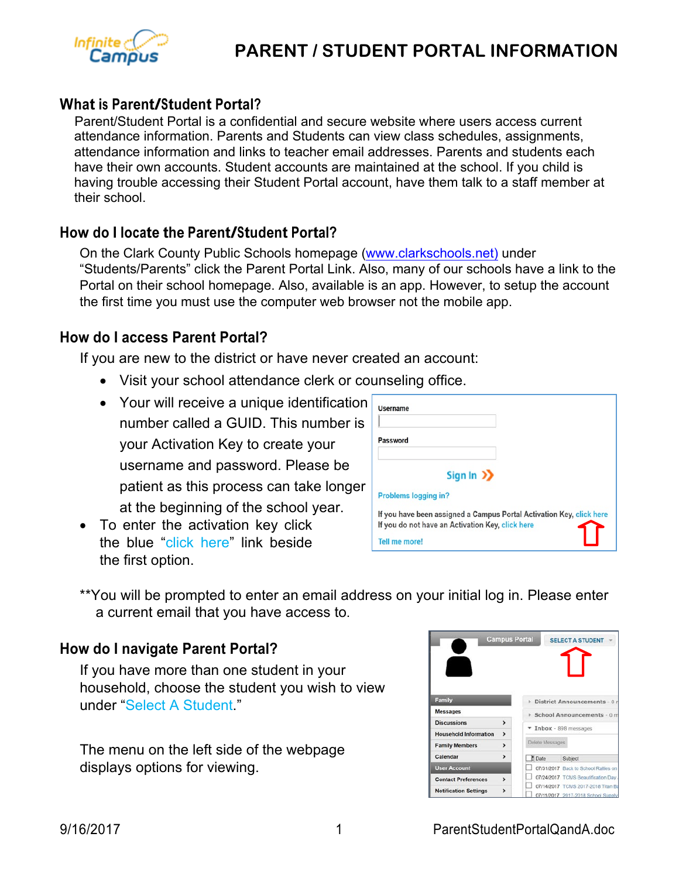

# **PARENT / STUDENT PORTAL INFORMATION**

#### **What is Parent/Student Portal?**

 Parent/Student Portal is a confidential and secure website where users access current attendance information. Parents and Students can view class schedules, assignments, attendance information and links to teacher email addresses. Parents and students each have their own accounts. Student accounts are maintained at the school. If you child is having trouble accessing their Student Portal account, have them talk to a staff member at their school.

#### **How do <sup>I</sup> locate the Parent/Student Portal?**

On the Clark County Public Schools homepage (www.clarkschools.net) under "Students/Parents" click the Parent Portal Link. Also, many of our schools have a link to the Portal on their school homepage. Also, available is an app. However, to setup the account the first time you must use the computer web browser not the mobile app.

#### **How do I access Parent Portal?**

If you are new to the district or have never created an account:

- Visit your school attendance clerk or counseling office.
- Your will receive a unique identification number called a GUID. This number is your Activation Key to create your username and password. Please be patient as this process can take longer at the beginning of the school year.
- To enter the activation key click the blue "click here" link beside the first option.

| <b>Username</b>                                                                                                          |  |
|--------------------------------------------------------------------------------------------------------------------------|--|
| Password                                                                                                                 |  |
| Sign In $\sum$                                                                                                           |  |
| Problems logging in?                                                                                                     |  |
| If you have been assigned a Campus Portal Activation Key, click here<br>If you do not have an Activation Key, click here |  |
| Tell me more!                                                                                                            |  |

\*\*You will be prompted to enter an email address on your initial log in. Please enter a current email that you have access to.

#### **How do I navigate Parent Portal?**

If you have more than one student in your household, choose the student you wish to view under "Select A Student."

The menu on the left side of the webpage displays options for viewing.

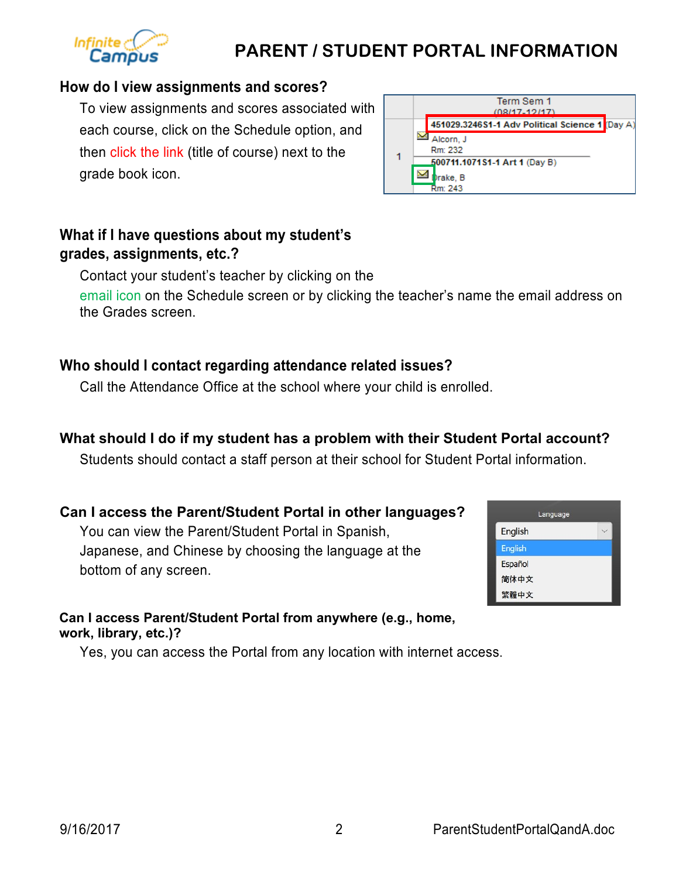# **PARENT / STUDENT PORTAL INFORMATION**

# **How do I view assignments and scores?**

To view assignments and scores associated with each course, click on the Schedule option, and then click the link (title of course) next to the grade book icon.

# **What if I have questions about my student's grades, assignments, etc.?**

Contact your student's teacher by clicking on the email icon on the Schedule screen or by clicking the teacher's name the email address on the Grades screen.

# **Who should I contact regarding attendance related issues?**

Call the Attendance Office at the school where your child is enrolled.

# **What should I do if my student has a problem with their Student Portal account?**

Students should contact a staff person at their school for Student Portal information.

## **Can I access the Parent/Student Portal in other languages?**

You can view the Parent/Student Portal in Spanish, Japanese, and Chinese by choosing the language at the bottom of any screen.

#### **Can I access Parent/Student Portal from anywhere (e.g., home, work, library, etc.)?**

Yes, you can access the Portal from any location with internet access.





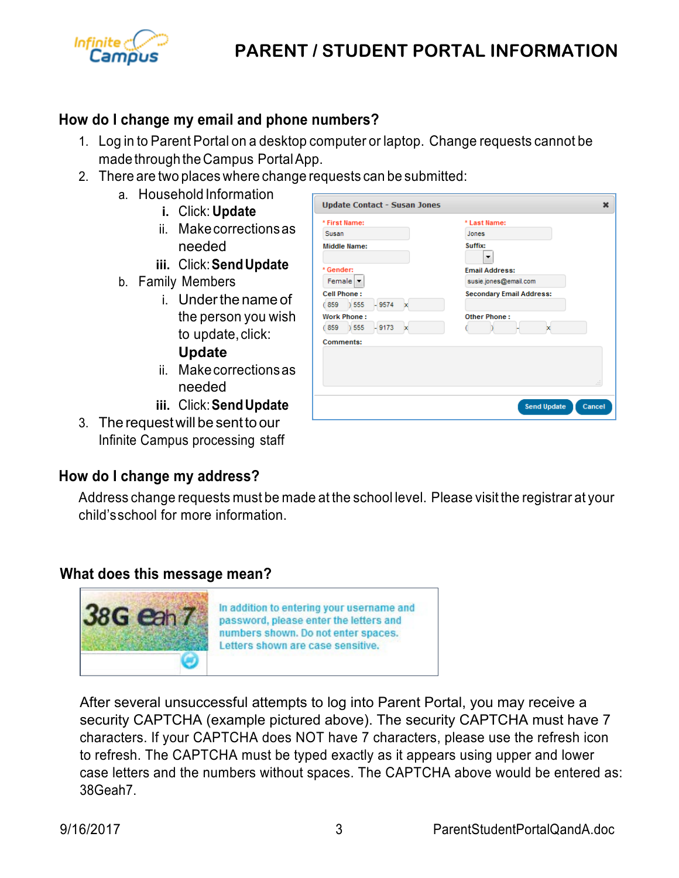

# **PARENT / STUDENT PORTAL INFORMATION**

### **How do I change my email and phone numbers?**

1. Log in to Parent Portal on a desktop computer or laptop. Change requests cannot be made through theCampus PortalApp.

**Provident Common** 

**Update Contact - Susan Jones** 

- 2. There are two places where change requests can be submitted:
	- a. Household Information
		- **i.** Click: **Update**
			- ii. Makecorrectionsas needed
			- **iii.** Click:**SendUpdate**
	- b. Family Members
		- i. Under the name of the person you wish to update, click: **Update**
		- ii. Makecorrectionsas needed
		- **iii.** Click:**SendUpdate**
- 3. The requestwill be sentto our Infinite Campus processing staff

#### **How do I change my address?**

| * Gender:                                                                                                                              | <b>Email Address:</b>                                                    |                  |
|----------------------------------------------------------------------------------------------------------------------------------------|--------------------------------------------------------------------------|------------------|
| Female $\blacktriangledown$<br><b>Cell Phone:</b><br>(859) 555<br>$-9574$<br>×<br><b>Work Phone:</b><br>) 555<br>(859)<br>$-9173$<br>× | susie.jones@email.com<br><b>Secondary Email Address:</b><br>Other Phone: |                  |
|                                                                                                                                        |                                                                          | x                |
|                                                                                                                                        |                                                                          | <b>Comments:</b> |
|                                                                                                                                        |                                                                          |                  |
|                                                                                                                                        |                                                                          |                  |
|                                                                                                                                        | лÍ                                                                       |                  |

**A FIRST MODEL** 

×

Address change requests must be made at the school level. Please visit the registrar at your child'sschool for more information.

#### **What does this message mean?**



After several unsuccessful attempts to log into Parent Portal, you may receive a security CAPTCHA (example pictured above). The security CAPTCHA must have 7 characters. If your CAPTCHA does NOT have 7 characters, please use the refresh icon to refresh. The CAPTCHA must be typed exactly as it appears using upper and lower case letters and the numbers without spaces. The CAPTCHA above would be entered as: 38Geah7.